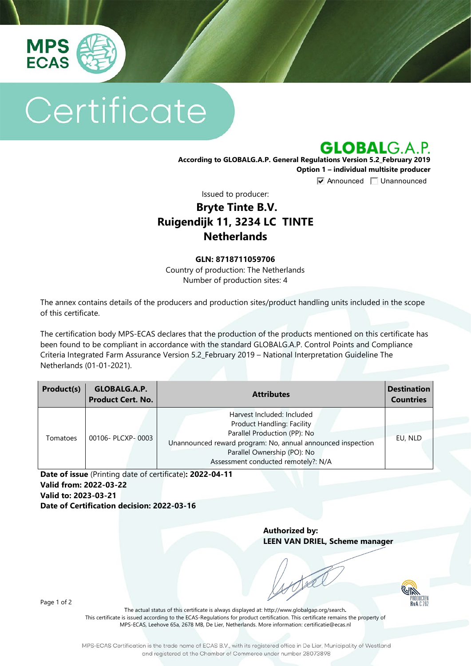

# Certificate

**GLOBALG.A.P.** 

**According to GLOBALG.A.P. General Regulations Version 5.2\_February 2019 Option 1 – individual multisite producer**

**V** Announced **Unannounced** 

Issued to producer:

## **Bryte Tinte B.V. Ruigendijk 11, 3234 LC TINTE Netherlands**

#### **GLN: 8718711059706**

Country of production: The Netherlands Number of production sites: 4

The annex contains details of the producers and production sites/product handling units included in the scope of this certificate.

The certification body MPS-ECAS declares that the production of the products mentioned on this certificate has been found to be compliant in accordance with the standard GLOBALG.A.P. Control Points and Compliance Criteria Integrated Farm Assurance Version 5.2\_February 2019 – National Interpretation Guideline The Netherlands (01-01-2021).

| Product(s) | GLOBALG.A.P.<br><b>Product Cert. No.</b> | <b>Attributes</b>                                                                                                                                                                                                                    | <b>Destination</b><br><b>Countries</b> |
|------------|------------------------------------------|--------------------------------------------------------------------------------------------------------------------------------------------------------------------------------------------------------------------------------------|----------------------------------------|
| Tomatoes   | 00106- PLCXP-0003                        | Harvest Included: Included<br><b>Product Handling: Facility</b><br>Parallel Production (PP): No<br>Unannounced reward program: No, annual announced inspection<br>Parallel Ownership (PO): No<br>Assessment conducted remotely?: N/A | EU, NLD                                |

**Date of issue** (Printing date of certificate)**: 2022-04-11 Valid from: 2022-03-22 Valid to: 2023-03-21 Date of Certification decision: 2022-03-16**

> **Authorized by: LEEN VAN DRIEL, Scheme manager**



Page 1 of 2

The actual status of this certificate is always displayed at: <http://www.globalgap.org/search>**.**  This certificate is issued according to the ECAS-Regulations for product certification. This certificate remains the property of MPS-ECAS, Leehove 65a, 2678 MB, De Lier, Netherlands. More information[: certificatie@ecas.nl](mailto:certificatie@ecas.nl)